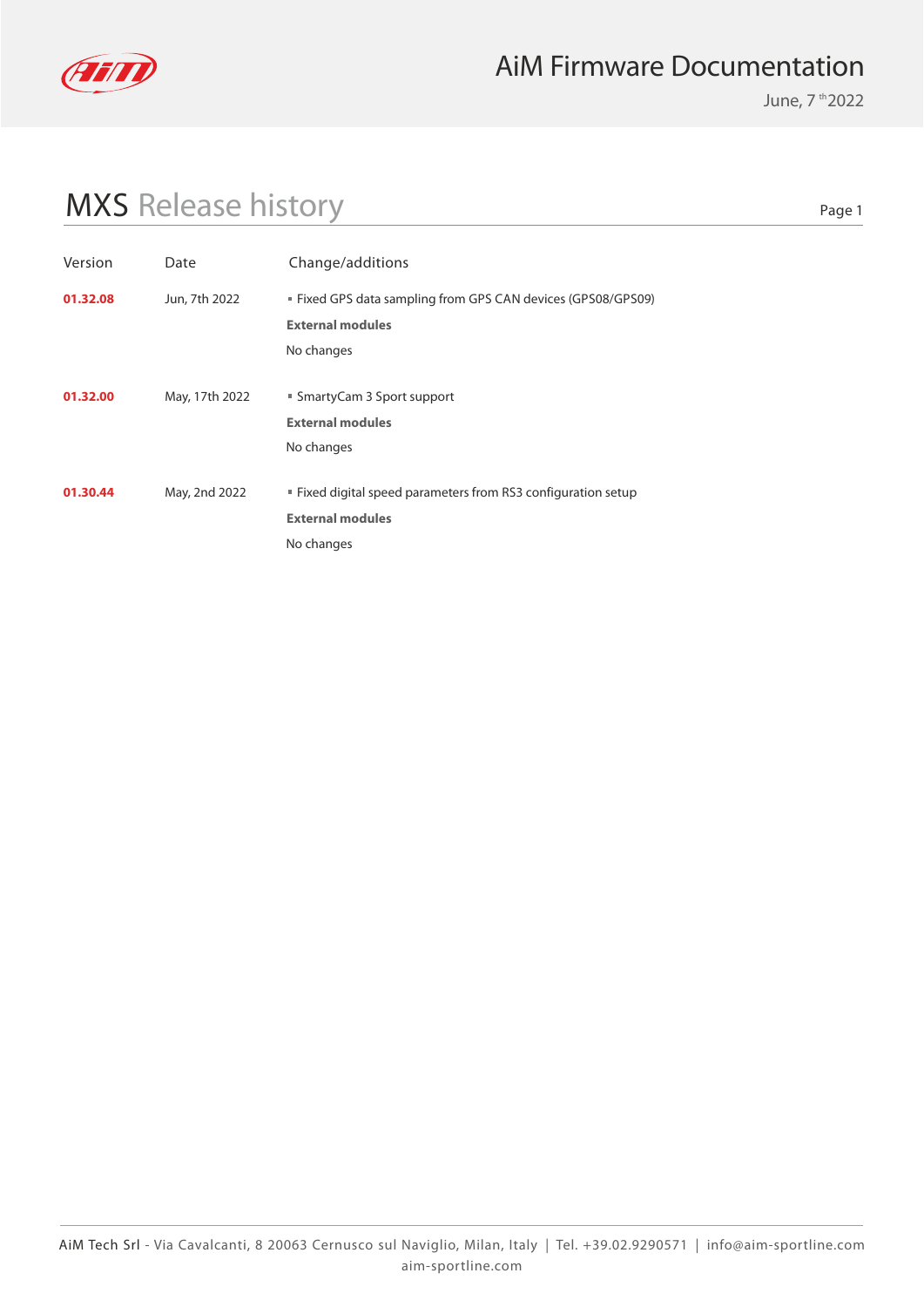

June, 7 th 2022

# MXS Release history

| Version  | Date           | Change/additions                                              |
|----------|----------------|---------------------------------------------------------------|
| 01.32.08 | Jun, 7th 2022  | ■ Fixed GPS data sampling from GPS CAN devices (GPS08/GPS09)  |
|          |                | <b>External modules</b>                                       |
|          |                | No changes                                                    |
|          |                |                                                               |
| 01.32.00 | May, 17th 2022 | ■ SmartyCam 3 Sport support                                   |
|          |                | <b>External modules</b>                                       |
|          |                | No changes                                                    |
|          |                |                                                               |
| 01.30.44 | May, 2nd 2022  | " Fixed digital speed parameters from RS3 configuration setup |
|          |                | <b>External modules</b>                                       |
|          |                | No changes                                                    |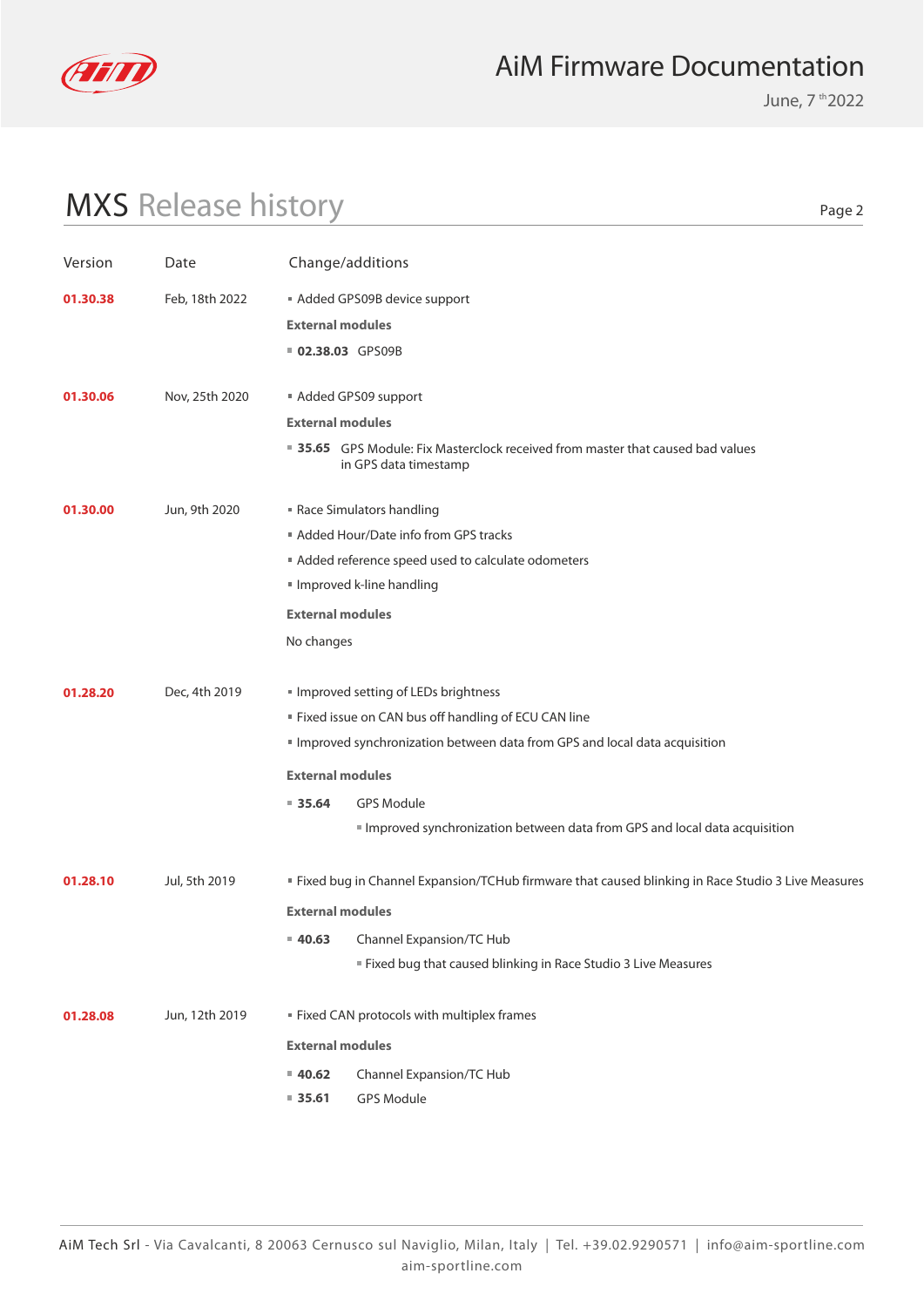

June, 7 th 2022

# MXS Release history

| Version  | Date           | Change/additions        |                                                                                                          |
|----------|----------------|-------------------------|----------------------------------------------------------------------------------------------------------|
| 01.30.38 | Feb, 18th 2022 |                         | Added GPS09B device support                                                                              |
|          |                | <b>External modules</b> |                                                                                                          |
|          |                | 02.38.03 GPS09B         |                                                                                                          |
| 01.30.06 | Nov, 25th 2020 |                         | Added GPS09 support                                                                                      |
|          |                | <b>External modules</b> |                                                                                                          |
|          |                |                         | ■ 35.65 GPS Module: Fix Masterclock received from master that caused bad values<br>in GPS data timestamp |
| 01.30.00 | Jun, 9th 2020  |                         | Race Simulators handling                                                                                 |
|          |                |                         | Added Hour/Date info from GPS tracks                                                                     |
|          |                |                         | Added reference speed used to calculate odometers                                                        |
|          |                |                         | Improved k-line handling                                                                                 |
|          |                | <b>External modules</b> |                                                                                                          |
|          |                | No changes              |                                                                                                          |
| 01.28.20 | Dec, 4th 2019  |                         | Improved setting of LEDs brightness                                                                      |
|          |                |                         | " Fixed issue on CAN bus off handling of ECU CAN line                                                    |
|          |                |                         | Improved synchronization between data from GPS and local data acquisition                                |
|          |                | <b>External modules</b> |                                                                                                          |
|          |                | 935.64                  | <b>GPS Module</b>                                                                                        |
|          |                |                         | Improved synchronization between data from GPS and local data acquisition                                |
| 01.28.10 | Jul, 5th 2019  |                         | " Fixed bug in Channel Expansion/TCHub firmware that caused blinking in Race Studio 3 Live Measures      |
|          |                | <b>External modules</b> |                                                                                                          |
|          |                | $= 40.63$               | Channel Expansion/TC Hub                                                                                 |
|          |                |                         | Eixed bug that caused blinking in Race Studio 3 Live Measures                                            |
| 01.28.08 | Jun, 12th 2019 |                         | <b>Fixed CAN protocols with multiplex frames</b>                                                         |
|          |                | <b>External modules</b> |                                                                                                          |
|          |                | $= 40.62$               | Channel Expansion/TC Hub                                                                                 |
|          |                | 85.61                   | GPS Module                                                                                               |
|          |                |                         |                                                                                                          |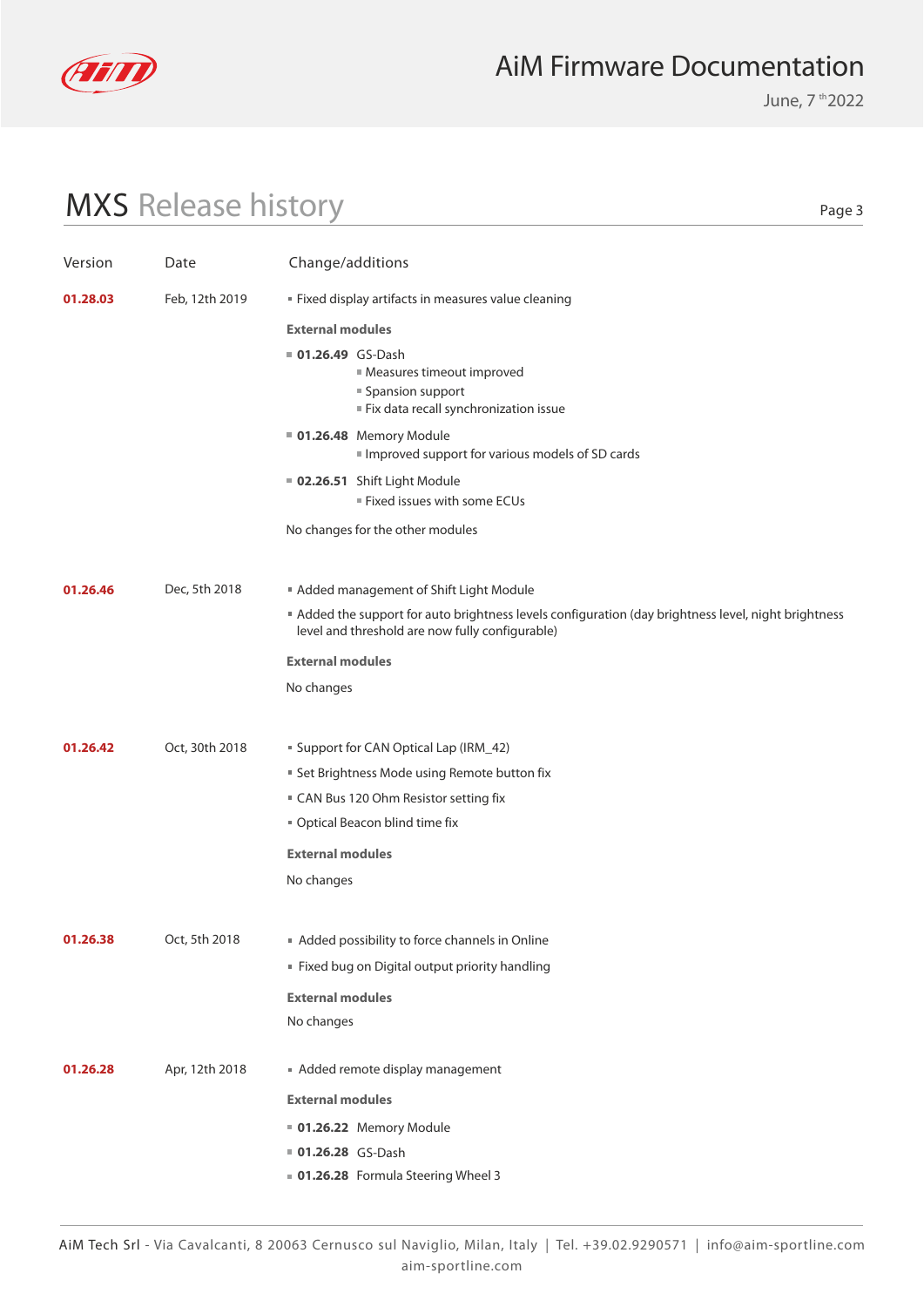

June, 7 th 2022

# MXS Release history

| Version  | Date           | Change/additions                                                                                                                                      |
|----------|----------------|-------------------------------------------------------------------------------------------------------------------------------------------------------|
| 01.28.03 | Feb, 12th 2019 | " Fixed display artifacts in measures value cleaning                                                                                                  |
|          |                | <b>External modules</b>                                                                                                                               |
|          |                | <b>01.26.49</b> GS-Dash<br><b>Measures timeout improved</b><br>■ Spansion support<br>Fix data recall synchronization issue                            |
|          |                | <b>01.26.48</b> Memory Module<br>Improved support for various models of SD cards                                                                      |
|          |                | 02.26.51 Shift Light Module<br>■ Fixed issues with some ECUs                                                                                          |
|          |                | No changes for the other modules                                                                                                                      |
| 01.26.46 | Dec, 5th 2018  | Added management of Shift Light Module                                                                                                                |
|          |                | Added the support for auto brightness levels configuration (day brightness level, night brightness<br>level and threshold are now fully configurable) |
|          |                | <b>External modules</b>                                                                                                                               |
|          |                | No changes                                                                                                                                            |
| 01.26.42 | Oct, 30th 2018 | <b>Support for CAN Optical Lap (IRM_42)</b>                                                                                                           |
|          |                | <b>Set Brightness Mode using Remote button fix</b>                                                                                                    |
|          |                | ■ CAN Bus 120 Ohm Resistor setting fix                                                                                                                |
|          |                | " Optical Beacon blind time fix                                                                                                                       |
|          |                | <b>External modules</b>                                                                                                                               |
|          |                | No changes                                                                                                                                            |
| 01.26.38 | Oct, 5th 2018  | Added possibility to force channels in Online                                                                                                         |
|          |                | " Fixed bug on Digital output priority handling                                                                                                       |
|          |                | <b>External modules</b>                                                                                                                               |
|          |                | No changes                                                                                                                                            |
| 01.26.28 | Apr, 12th 2018 | Added remote display management                                                                                                                       |
|          |                | <b>External modules</b>                                                                                                                               |
|          |                | <b>01.26.22</b> Memory Module                                                                                                                         |
|          |                | 01.26.28 GS-Dash                                                                                                                                      |
|          |                | <b>01.26.28</b> Formula Steering Wheel 3                                                                                                              |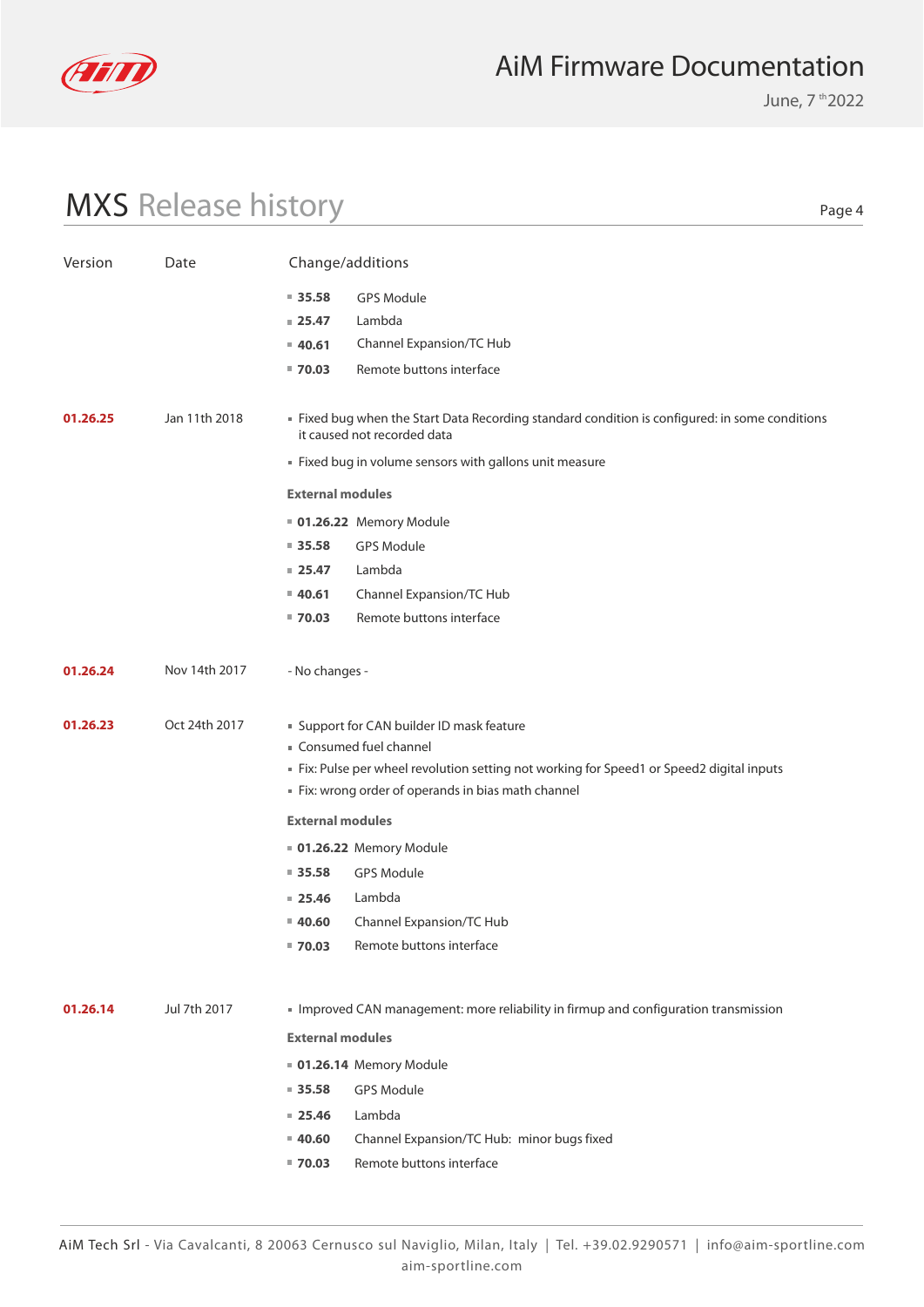

June, 7 th 2022

# MXS Release history

| Version  | Date          | Change/additions        |                                                                                                                               |
|----------|---------------|-------------------------|-------------------------------------------------------------------------------------------------------------------------------|
|          |               | $\blacksquare$ 35.58    | <b>GPS Module</b>                                                                                                             |
|          |               | $= 25.47$               | Lambda                                                                                                                        |
|          |               | $= 40.61$               | Channel Expansion/TC Hub                                                                                                      |
|          |               | $= 70.03$               | Remote buttons interface                                                                                                      |
|          |               |                         |                                                                                                                               |
| 01.26.25 | Jan 11th 2018 |                         | " Fixed bug when the Start Data Recording standard condition is configured: in some conditions<br>it caused not recorded data |
|          |               |                         | Fixed bug in volume sensors with gallons unit measure                                                                         |
|          |               | <b>External modules</b> |                                                                                                                               |
|          |               |                         | 01.26.22 Memory Module                                                                                                        |
|          |               | $= 35.58$               | <b>GPS Module</b>                                                                                                             |
|          |               | $= 25.47$               | Lambda                                                                                                                        |
|          |               | 40.61                   | Channel Expansion/TC Hub                                                                                                      |
|          |               | $= 70.03$               | Remote buttons interface                                                                                                      |
| 01.26.24 | Nov 14th 2017 | - No changes -          |                                                                                                                               |
| 01.26.23 | Oct 24th 2017 |                         | " Support for CAN builder ID mask feature                                                                                     |
|          |               |                         | Consumed fuel channel                                                                                                         |
|          |               |                         | Fix: Pulse per wheel revolution setting not working for Speed1 or Speed2 digital inputs                                       |
|          |               |                         | Fix: wrong order of operands in bias math channel                                                                             |
|          |               | <b>External modules</b> |                                                                                                                               |
|          |               |                         | <b>01.26.22 Memory Module</b>                                                                                                 |
|          |               | $= 35.58$               | <b>GPS Module</b>                                                                                                             |
|          |               | $= 25.46$               | Lambda                                                                                                                        |
|          |               | $= 40.60$               | Channel Expansion/TC Hub                                                                                                      |
|          |               | $= 70.03$               | Remote buttons interface                                                                                                      |
|          |               |                         |                                                                                                                               |
| 01.26.14 | Jul 7th 2017  |                         | Improved CAN management: more reliability in firmup and configuration transmission                                            |
|          |               | <b>External modules</b> |                                                                                                                               |
|          |               |                         | 01.26.14 Memory Module                                                                                                        |
|          |               | $\blacksquare$ 35.58    | <b>GPS Module</b>                                                                                                             |
|          |               | $= 25.46$               | Lambda                                                                                                                        |
|          |               | $= 40.60$               | Channel Expansion/TC Hub: minor bugs fixed                                                                                    |
|          |               | $= 70.03$               | Remote buttons interface                                                                                                      |
|          |               |                         |                                                                                                                               |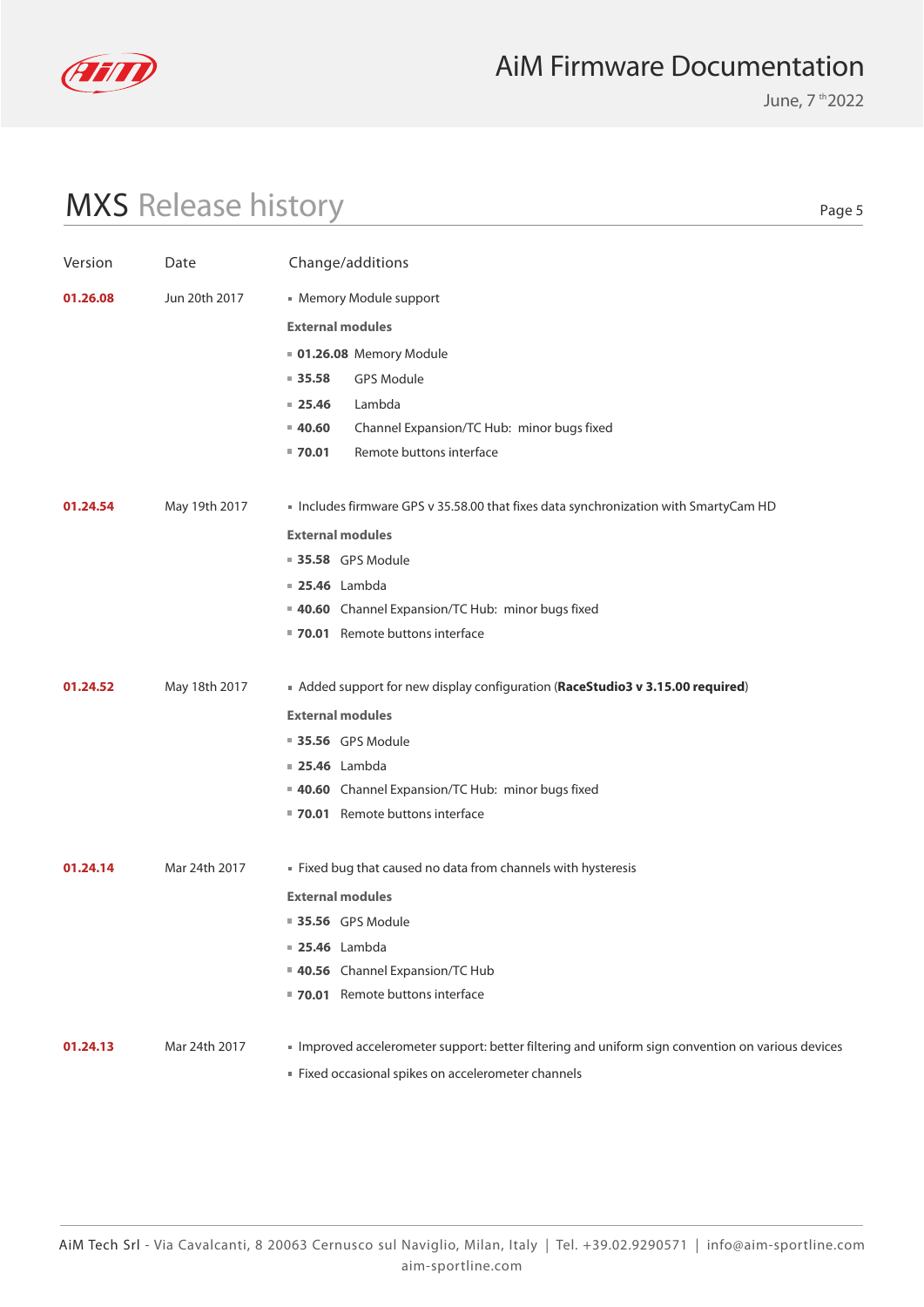

June, 7 th 2022

# MXS Release history

| Version  | Date          | Change/additions                                                                                |
|----------|---------------|-------------------------------------------------------------------------------------------------|
| 01.26.08 | Jun 20th 2017 | Memory Module support                                                                           |
|          |               | <b>External modules</b>                                                                         |
|          |               | <b>01.26.08</b> Memory Module                                                                   |
|          |               | $\blacksquare$ 35.58<br><b>GPS Module</b>                                                       |
|          |               | Lambda<br>$= 25.46$                                                                             |
|          |               | Channel Expansion/TC Hub: minor bugs fixed<br>$= 40.60$                                         |
|          |               | Remote buttons interface<br>■ 70.01                                                             |
| 01.24.54 | May 19th 2017 | Includes firmware GPS v 35.58.00 that fixes data synchronization with SmartyCam HD              |
|          |               | <b>External modules</b>                                                                         |
|          |               | <b>35.58</b> GPS Module                                                                         |
|          |               | <b>25.46</b> Lambda                                                                             |
|          |               | 40.60 Channel Expansion/TC Hub: minor bugs fixed                                                |
|          |               | 70.01 Remote buttons interface                                                                  |
| 01.24.52 | May 18th 2017 | Added support for new display configuration (RaceStudio3 v 3.15.00 required)                    |
|          |               | <b>External modules</b>                                                                         |
|          |               | <b>35.56</b> GPS Module                                                                         |
|          |               | <b>25.46</b> Lambda                                                                             |
|          |               | 40.60 Channel Expansion/TC Hub: minor bugs fixed                                                |
|          |               | 70.01 Remote buttons interface                                                                  |
| 01.24.14 | Mar 24th 2017 | Fixed bug that caused no data from channels with hysteresis                                     |
|          |               | <b>External modules</b>                                                                         |
|          |               | <b>35.56</b> GPS Module                                                                         |
|          |               | <b>25.46</b> Lambda                                                                             |
|          |               | 40.56 Channel Expansion/TC Hub                                                                  |
|          |               | 70.01 Remote buttons interface                                                                  |
| 01.24.13 | Mar 24th 2017 | Improved accelerometer support: better filtering and uniform sign convention on various devices |
|          |               | Fixed occasional spikes on accelerometer channels                                               |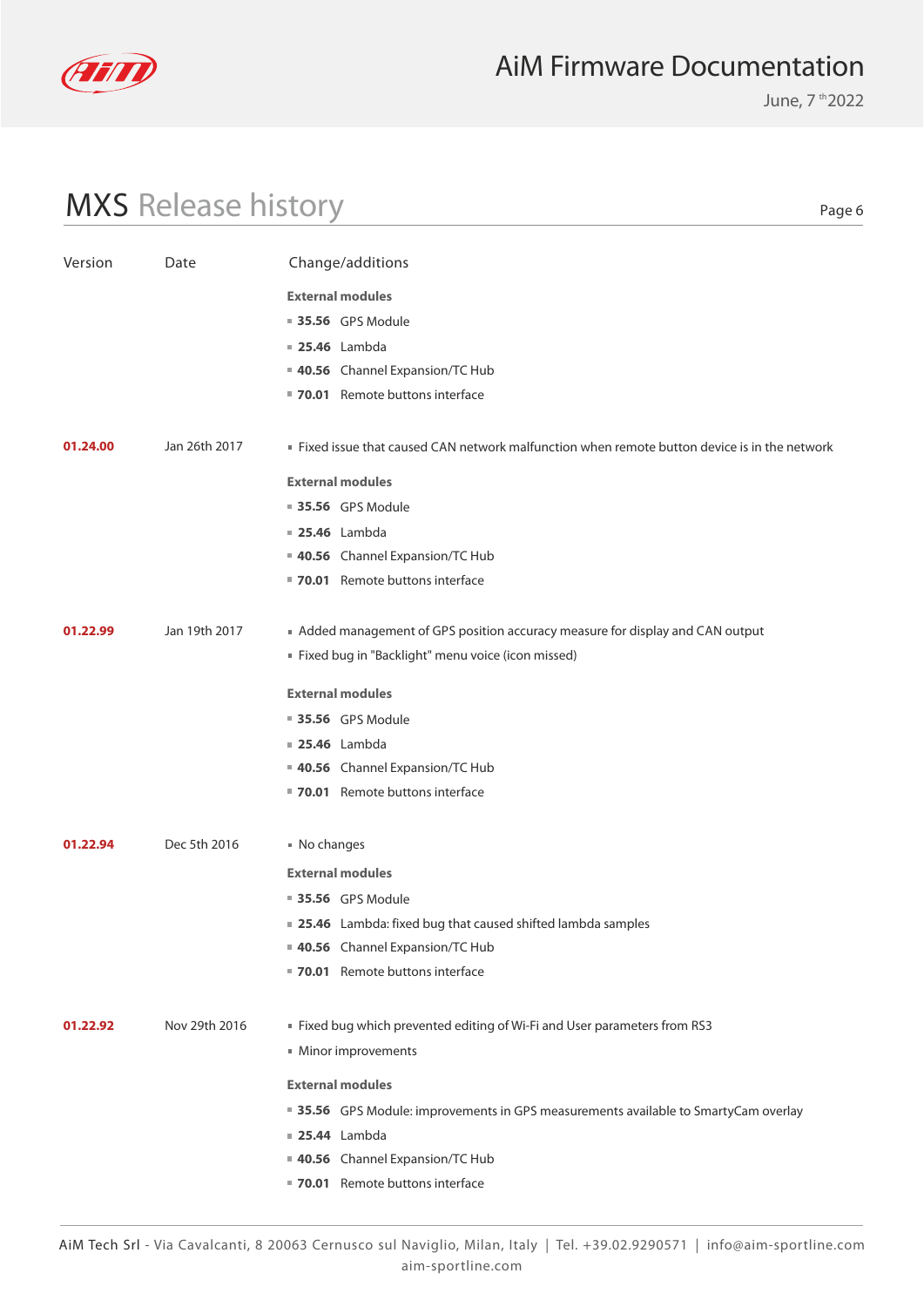

June, 7 th 2022

# MXS Release history

| Version  | Date          | Change/additions                                                                              |
|----------|---------------|-----------------------------------------------------------------------------------------------|
|          |               | <b>External modules</b>                                                                       |
|          |               | ■ 35.56 GPS Module                                                                            |
|          |               | <b>25.46</b> Lambda                                                                           |
|          |               | 40.56 Channel Expansion/TC Hub                                                                |
|          |               | 70.01 Remote buttons interface                                                                |
| 01.24.00 | Jan 26th 2017 | . Fixed issue that caused CAN network malfunction when remote button device is in the network |
|          |               | <b>External modules</b>                                                                       |
|          |               | ■ 35.56 GPS Module                                                                            |
|          |               | <b>25.46</b> Lambda                                                                           |
|          |               | 40.56 Channel Expansion/TC Hub                                                                |
|          |               | 70.01 Remote buttons interface                                                                |
| 01.22.99 | Jan 19th 2017 | Added management of GPS position accuracy measure for display and CAN output                  |
|          |               | " Fixed bug in "Backlight" menu voice (icon missed)                                           |
|          |               | <b>External modules</b>                                                                       |
|          |               | <b>35.56</b> GPS Module                                                                       |
|          |               | <b>25.46</b> Lambda                                                                           |
|          |               | 40.56 Channel Expansion/TC Hub                                                                |
|          |               | 70.01 Remote buttons interface                                                                |
| 01.22.94 | Dec 5th 2016  | ■ No changes                                                                                  |
|          |               | <b>External modules</b>                                                                       |
|          |               | ■ 35.56 GPS Module                                                                            |
|          |               | ■ 25.46 Lambda: fixed bug that caused shifted lambda samples                                  |
|          |               | 40.56 Channel Expansion/TC Hub                                                                |
|          |               | 70.01 Remote buttons interface                                                                |
| 01.22.92 | Nov 29th 2016 |                                                                                               |
|          |               | " Fixed bug which prevented editing of Wi-Fi and User parameters from RS3                     |
|          |               | Minor improvements                                                                            |
|          |               | <b>External modules</b>                                                                       |
|          |               | ■ 35.56 GPS Module: improvements in GPS measurements available to SmartyCam overlay           |
|          |               | <b>25.44</b> Lambda                                                                           |
|          |               | 40.56 Channel Expansion/TC Hub                                                                |
|          |               | 70.01 Remote buttons interface                                                                |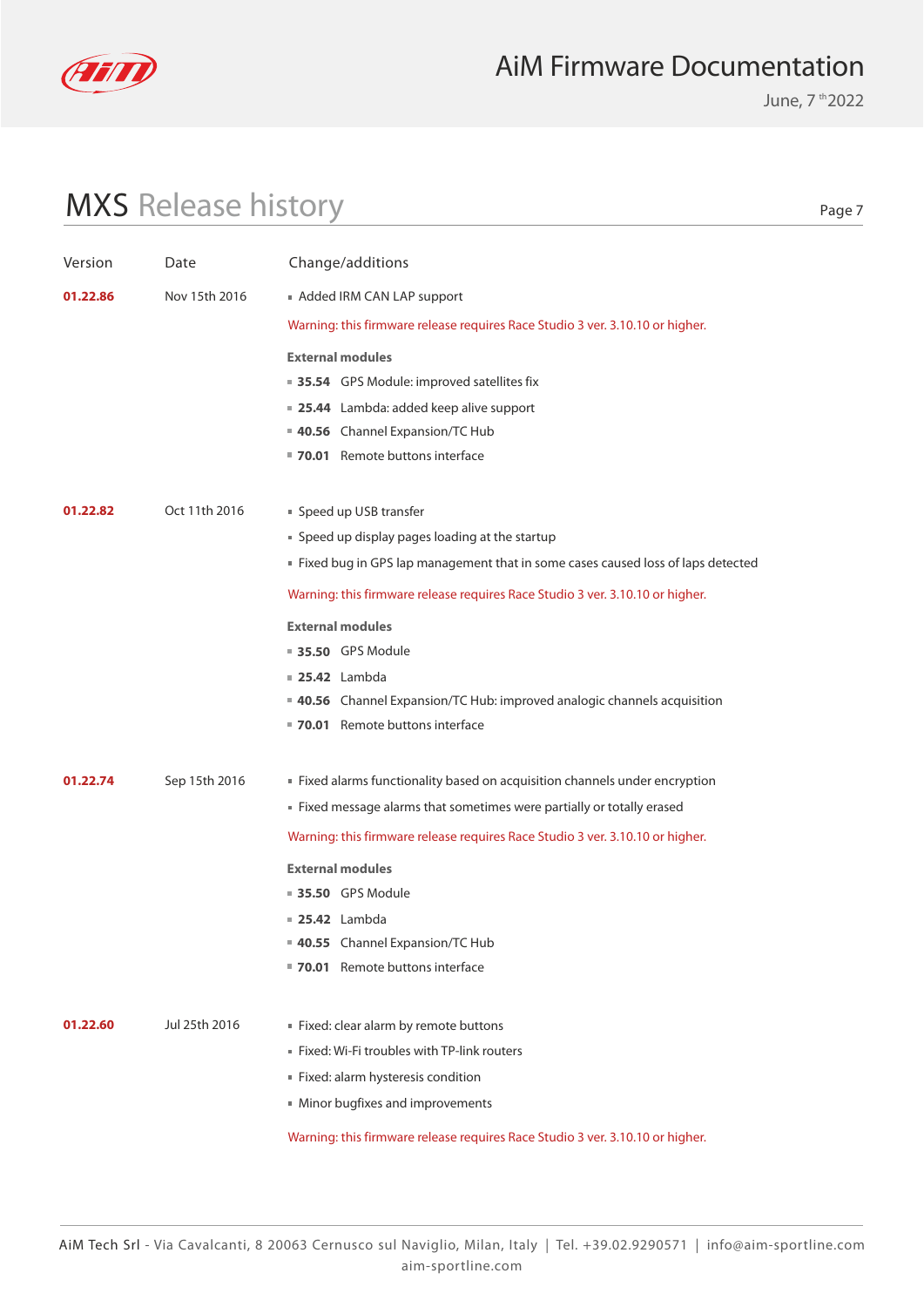

June, 7 th 2022

# MXS Release history

| Version  | Date          | Change/additions                                                                                                |
|----------|---------------|-----------------------------------------------------------------------------------------------------------------|
| 01.22.86 | Nov 15th 2016 | Added IRM CAN LAP support                                                                                       |
|          |               | Warning: this firmware release requires Race Studio 3 ver. 3.10.10 or higher.                                   |
|          |               | <b>External modules</b>                                                                                         |
|          |               | ■ 35.54 GPS Module: improved satellites fix                                                                     |
|          |               | ■ 25.44 Lambda: added keep alive support                                                                        |
|          |               | 40.56 Channel Expansion/TC Hub                                                                                  |
|          |               | " 70.01 Remote buttons interface                                                                                |
| 01.22.82 | Oct 11th 2016 |                                                                                                                 |
|          |               | ■ Speed up USB transfer<br>" Speed up display pages loading at the startup                                      |
|          |               | Fixed bug in GPS lap management that in some cases caused loss of laps detected                                 |
|          |               |                                                                                                                 |
|          |               | Warning: this firmware release requires Race Studio 3 ver. 3.10.10 or higher.                                   |
|          |               | <b>External modules</b>                                                                                         |
|          |               | ■ 35.50 GPS Module                                                                                              |
|          |               | <b>25.42</b> Lambda                                                                                             |
|          |               | <b>40.56</b> Channel Expansion/TC Hub: improved analogic channels acquisition<br>70.01 Remote buttons interface |
|          |               |                                                                                                                 |
| 01.22.74 | Sep 15th 2016 | Fixed alarms functionality based on acquisition channels under encryption                                       |
|          |               | Eixed message alarms that sometimes were partially or totally erased                                            |
|          |               | Warning: this firmware release requires Race Studio 3 ver. 3.10.10 or higher.                                   |
|          |               | <b>External modules</b>                                                                                         |
|          |               | <b>35.50</b> GPS Module                                                                                         |
|          |               | <b>25.42</b> Lambda                                                                                             |
|          |               | 40.55 Channel Expansion/TC Hub                                                                                  |
|          |               | 70.01 Remote buttons interface                                                                                  |
|          |               |                                                                                                                 |
| 01.22.60 | Jul 25th 2016 | Fixed: clear alarm by remote buttons                                                                            |
|          |               | Fixed: Wi-Fi troubles with TP-link routers                                                                      |
|          |               | Fixed: alarm hysteresis condition<br>• Minor bugfixes and improvements                                          |
|          |               |                                                                                                                 |
|          |               | Warning: this firmware release requires Race Studio 3 ver. 3.10.10 or higher.                                   |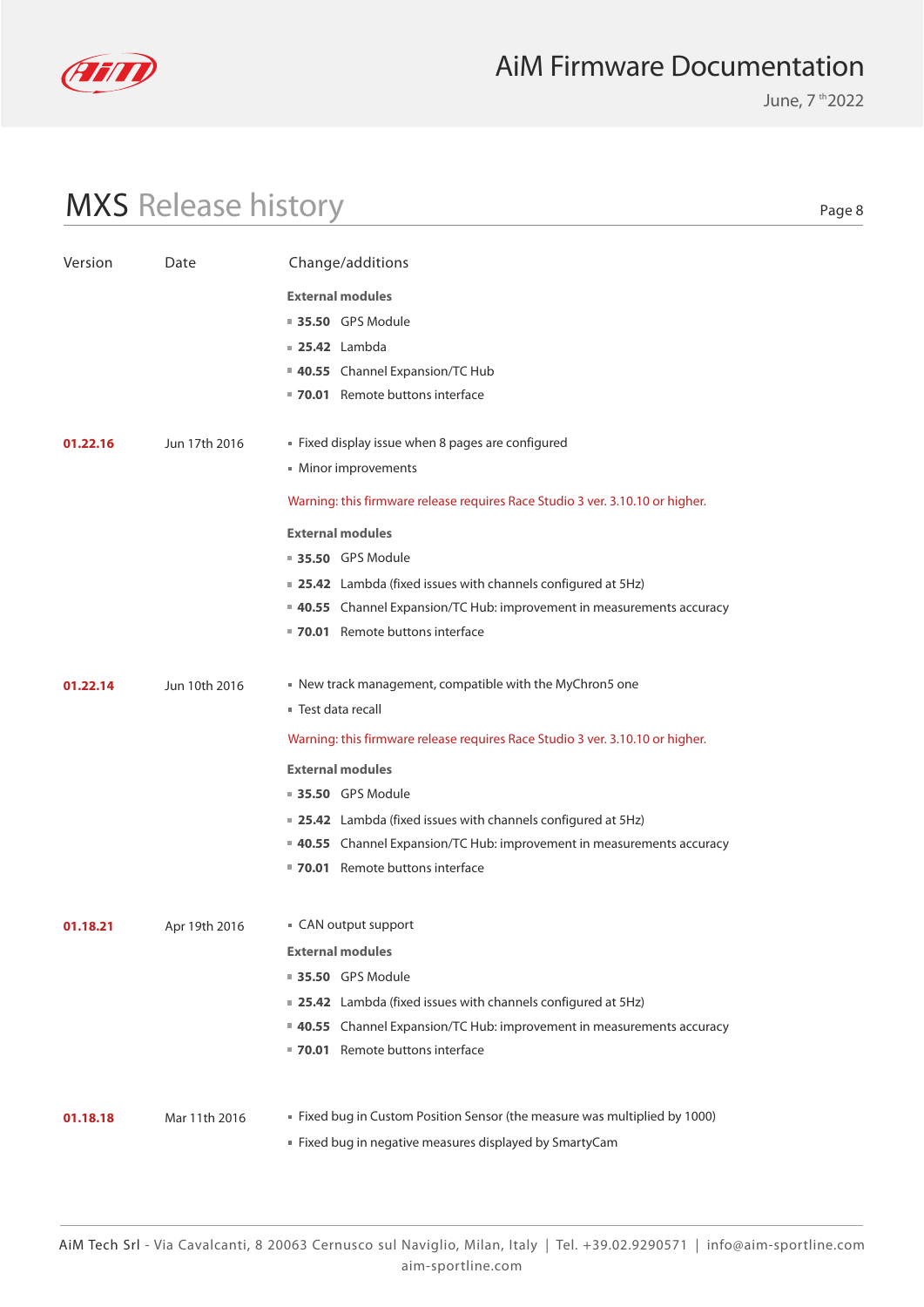

June, 7 th 2022

# MXS Release history

| Version  | Date          | Change/additions                                                              |
|----------|---------------|-------------------------------------------------------------------------------|
|          |               | <b>External modules</b>                                                       |
|          |               | <b>35.50 GPS Module</b>                                                       |
|          |               | $\blacksquare$ 25.42 Lambda                                                   |
|          |               | 40.55 Channel Expansion/TC Hub                                                |
|          |               | ■ 70.01 Remote buttons interface                                              |
| 01.22.16 | Jun 17th 2016 | Fixed display issue when 8 pages are configured                               |
|          |               | Minor improvements                                                            |
|          |               |                                                                               |
|          |               | Warning: this firmware release requires Race Studio 3 ver. 3.10.10 or higher. |
|          |               | <b>External modules</b>                                                       |
|          |               | <b>35.50</b> GPS Module                                                       |
|          |               | <b>25.42</b> Lambda (fixed issues with channels configured at 5Hz)            |
|          |               | <b>40.55</b> Channel Expansion/TC Hub: improvement in measurements accuracy   |
|          |               | 70.01 Remote buttons interface                                                |
| 01.22.14 | Jun 10th 2016 | New track management, compatible with the MyChron5 one                        |
|          |               | ■ Test data recall                                                            |
|          |               | Warning: this firmware release requires Race Studio 3 ver. 3.10.10 or higher. |
|          |               | <b>External modules</b>                                                       |
|          |               | ■ 35.50 GPS Module                                                            |
|          |               | <b>25.42</b> Lambda (fixed issues with channels configured at 5Hz)            |
|          |               | <b>40.55</b> Channel Expansion/TC Hub: improvement in measurements accuracy   |
|          |               | ■ 70.01 Remote buttons interface                                              |
| 01.18.21 | Apr 19th 2016 | ■ CAN output support                                                          |
|          |               | <b>External modules</b>                                                       |
|          |               |                                                                               |
|          |               |                                                                               |
|          |               | <b>35.50 GPS Module</b>                                                       |
|          |               | ■ 25.42 Lambda (fixed issues with channels configured at 5Hz)                 |
|          |               | ■ 40.55 Channel Expansion/TC Hub: improvement in measurements accuracy        |
|          |               | 70.01 Remote buttons interface                                                |
| 01.18.18 | Mar 11th 2016 | " Fixed bug in Custom Position Sensor (the measure was multiplied by 1000)    |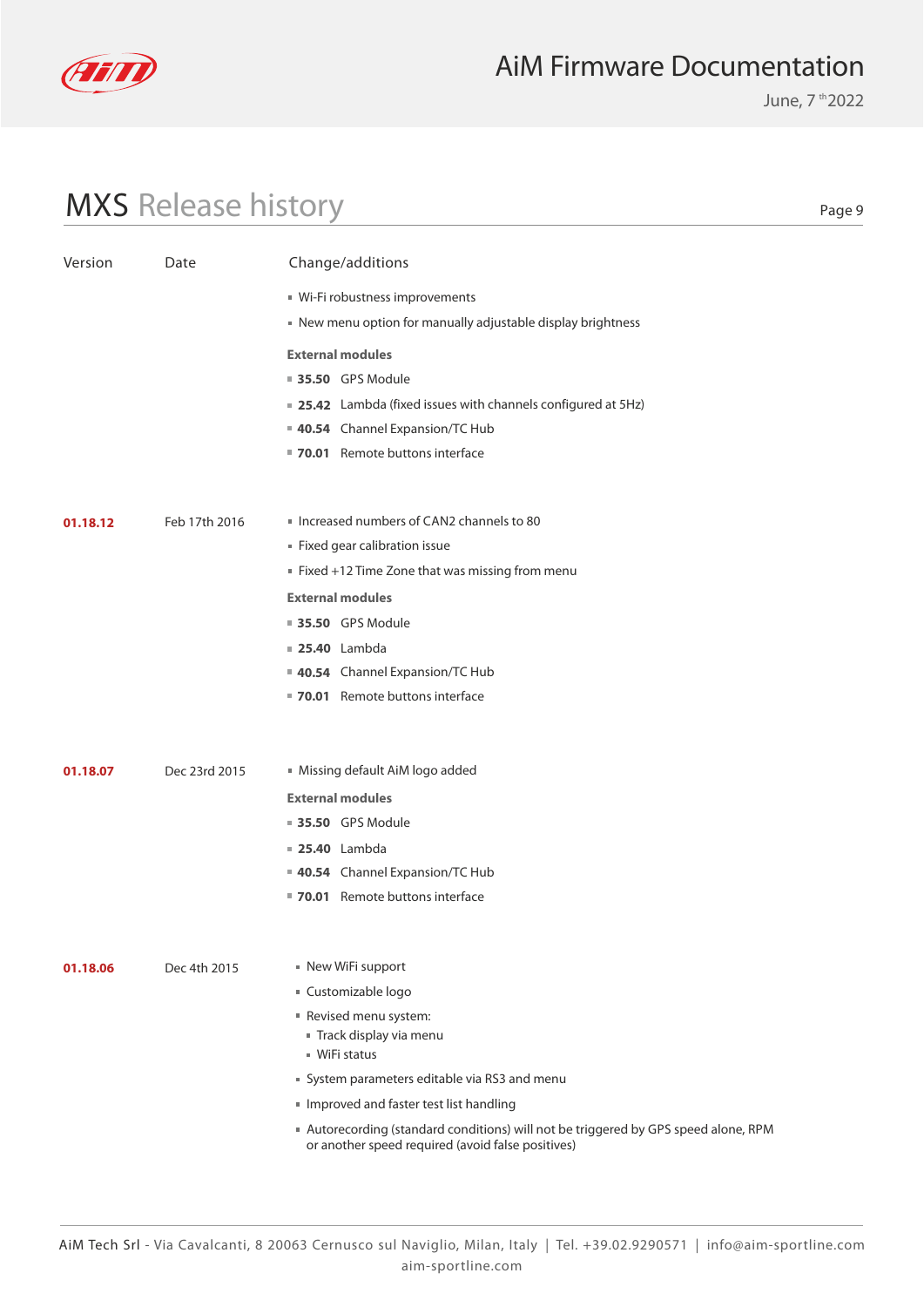

June, 7 th 2022

# MXS Release history

| Version  | Date          | Change/additions                                                                                                                       |
|----------|---------------|----------------------------------------------------------------------------------------------------------------------------------------|
|          |               | ■ Wi-Fi robustness improvements                                                                                                        |
|          |               | New menu option for manually adjustable display brightness                                                                             |
|          |               | <b>External modules</b>                                                                                                                |
|          |               | ■ 35.50 GPS Module                                                                                                                     |
|          |               | <b>25.42</b> Lambda (fixed issues with channels configured at 5Hz)                                                                     |
|          |               | 40.54 Channel Expansion/TC Hub                                                                                                         |
|          |               | 70.01 Remote buttons interface                                                                                                         |
|          |               |                                                                                                                                        |
| 01.18.12 | Feb 17th 2016 | Increased numbers of CAN2 channels to 80                                                                                               |
|          |               | Fixed gear calibration issue                                                                                                           |
|          |               | Fixed +12 Time Zone that was missing from menu                                                                                         |
|          |               | <b>External modules</b>                                                                                                                |
|          |               | <b>35.50 GPS Module</b>                                                                                                                |
|          |               | <b>25.40</b> Lambda                                                                                                                    |
|          |               | 40.54 Channel Expansion/TC Hub                                                                                                         |
|          |               | ■ 70.01 Remote buttons interface                                                                                                       |
|          |               |                                                                                                                                        |
| 01.18.07 | Dec 23rd 2015 | Missing default AiM logo added                                                                                                         |
|          |               | <b>External modules</b>                                                                                                                |
|          |               | ■ 35.50 GPS Module                                                                                                                     |
|          |               | <b>25.40</b> Lambda                                                                                                                    |
|          |               | 40.54 Channel Expansion/TC Hub                                                                                                         |
|          |               | ■ 70.01 Remote buttons interface                                                                                                       |
|          |               |                                                                                                                                        |
| 01.18.06 | Dec 4th 2015  | ■ New WiFi support                                                                                                                     |
|          |               | ■ Customizable logo                                                                                                                    |
|          |               | Revised menu system:<br>Track display via menu                                                                                         |
|          |               | ■ WiFi status                                                                                                                          |
|          |               | System parameters editable via RS3 and menu                                                                                            |
|          |               | Improved and faster test list handling                                                                                                 |
|          |               | Autorecording (standard conditions) will not be triggered by GPS speed alone, RPM<br>or another speed required (avoid false positives) |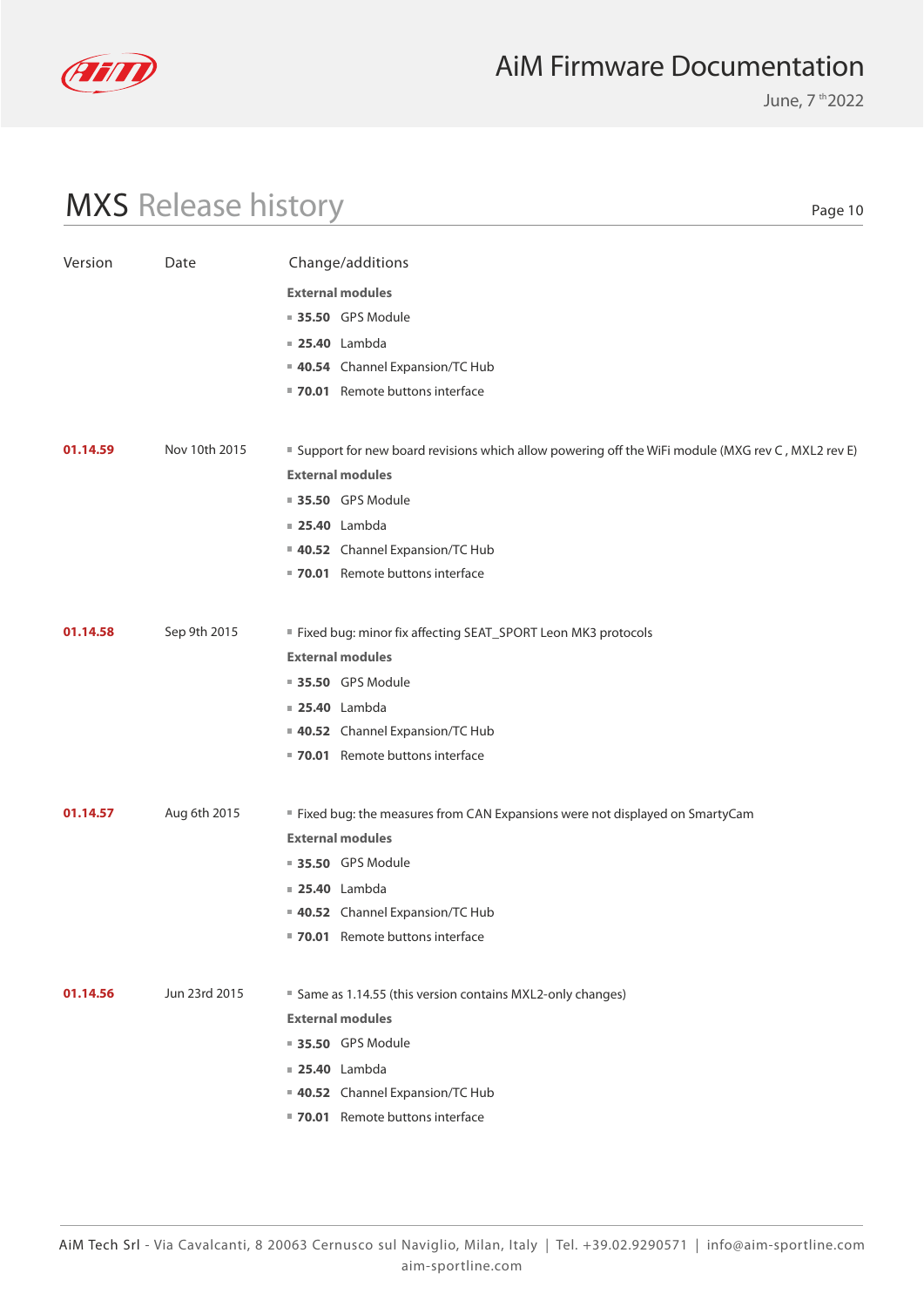

June, 7 th 2022

# MXS Release history

| Version  | Date          | Change/additions                                                                                   |
|----------|---------------|----------------------------------------------------------------------------------------------------|
|          |               | <b>External modules</b>                                                                            |
|          |               | ■ 35.50 GPS Module                                                                                 |
|          |               | <b>25.40</b> Lambda                                                                                |
|          |               | 40.54 Channel Expansion/TC Hub                                                                     |
|          |               | 70.01 Remote buttons interface                                                                     |
|          |               |                                                                                                    |
| 01.14.59 | Nov 10th 2015 | ■ Support for new board revisions which allow powering off the WiFi module (MXG rev C, MXL2 rev E) |
|          |               | <b>External modules</b>                                                                            |
|          |               | ■ 35.50 GPS Module                                                                                 |
|          |               | <b>25.40</b> Lambda                                                                                |
|          |               | 40.52 Channel Expansion/TC Hub                                                                     |
|          |               | ■ 70.01 Remote buttons interface                                                                   |
|          |               |                                                                                                    |
| 01.14.58 | Sep 9th 2015  | Fixed bug: minor fix affecting SEAT_SPORT Leon MK3 protocols                                       |
|          |               | <b>External modules</b>                                                                            |
|          |               | ■ 35.50 GPS Module                                                                                 |
|          |               | <b>25.40</b> Lambda                                                                                |
|          |               | 40.52 Channel Expansion/TC Hub                                                                     |
|          |               | 70.01 Remote buttons interface                                                                     |
|          |               |                                                                                                    |
| 01.14.57 | Aug 6th 2015  | " Fixed bug: the measures from CAN Expansions were not displayed on SmartyCam                      |
|          |               | <b>External modules</b>                                                                            |
|          |               | 35.50 GPS Module                                                                                   |
|          |               | <b>25.40</b> Lambda                                                                                |
|          |               | 40.52 Channel Expansion/TC Hub                                                                     |
|          |               | ■ 70.01 Remote buttons interface                                                                   |
|          |               |                                                                                                    |
| 01.14.56 | Jun 23rd 2015 | ■ Same as 1.14.55 (this version contains MXL2-only changes)                                        |
|          |               | <b>External modules</b>                                                                            |
|          |               | <b>35.50 GPS Module</b>                                                                            |
|          |               | <b>25.40</b> Lambda                                                                                |
|          |               | 40.52 Channel Expansion/TC Hub                                                                     |
|          |               | ■ 70.01 Remote buttons interface                                                                   |
|          |               |                                                                                                    |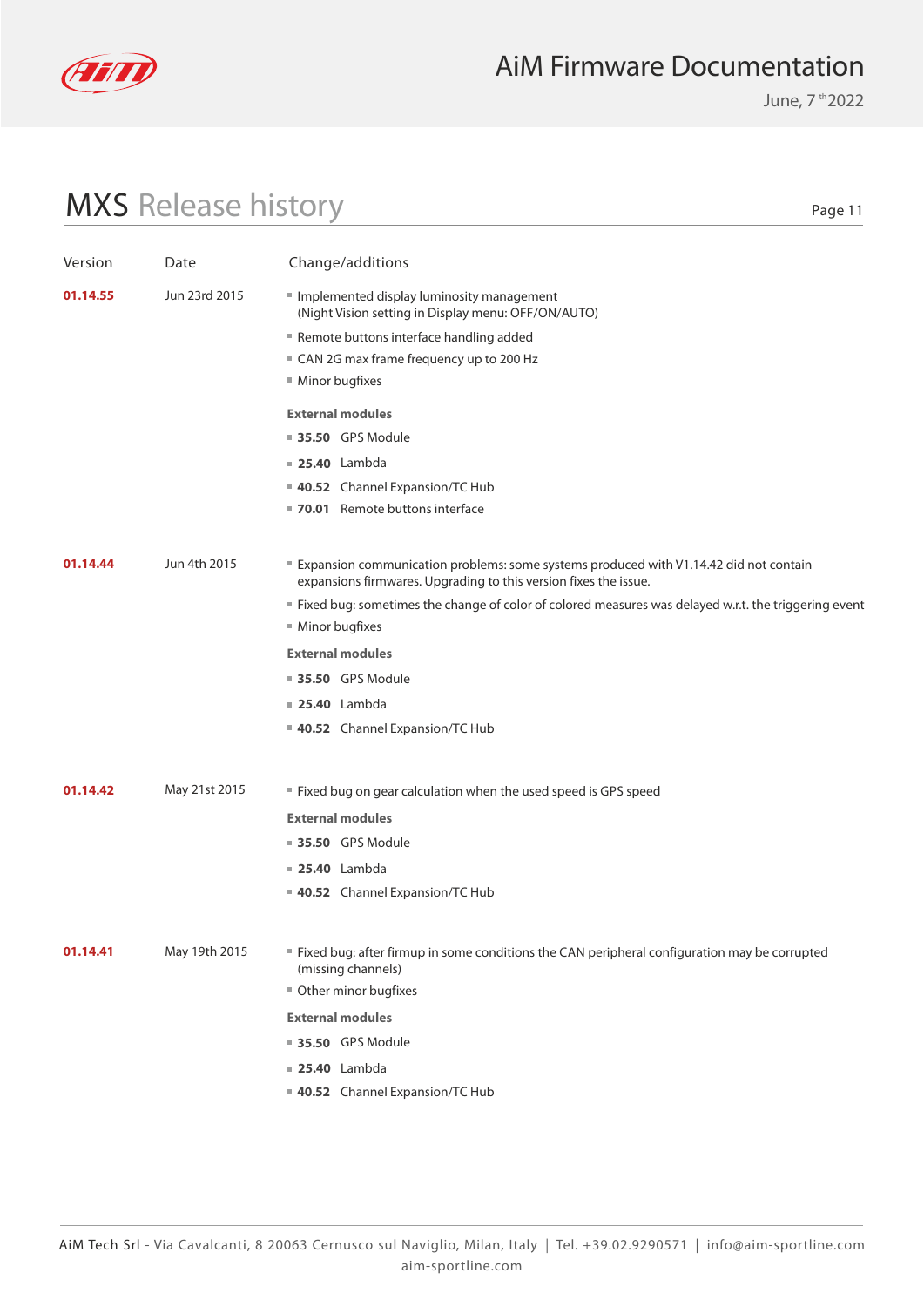

June, 7 th 2022

# MXS Release history

| Version  | Date          | Change/additions                                                                                                                                          |
|----------|---------------|-----------------------------------------------------------------------------------------------------------------------------------------------------------|
| 01.14.55 | Jun 23rd 2015 | Implemented display luminosity management<br>(Night Vision setting in Display menu: OFF/ON/AUTO)                                                          |
|          |               | Remote buttons interface handling added                                                                                                                   |
|          |               | ■ CAN 2G max frame frequency up to 200 Hz                                                                                                                 |
|          |               | ■ Minor bugfixes                                                                                                                                          |
|          |               | <b>External modules</b>                                                                                                                                   |
|          |               | <b>35.50 GPS Module</b>                                                                                                                                   |
|          |               | <b>25.40</b> Lambda                                                                                                                                       |
|          |               | 40.52 Channel Expansion/TC Hub                                                                                                                            |
|          |               | ■ 70.01 Remote buttons interface                                                                                                                          |
|          |               |                                                                                                                                                           |
| 01.14.44 | Jun 4th 2015  | Expansion communication problems: some systems produced with V1.14.42 did not contain<br>expansions firmwares. Upgrading to this version fixes the issue. |
|          |               | " Fixed bug: sometimes the change of color of colored measures was delayed w.r.t. the triggering event                                                    |
|          |               | ■ Minor bugfixes                                                                                                                                          |
|          |               | <b>External modules</b>                                                                                                                                   |
|          |               | <b>35.50</b> GPS Module                                                                                                                                   |
|          |               | <b>25.40</b> Lambda                                                                                                                                       |
|          |               | 40.52 Channel Expansion/TC Hub                                                                                                                            |
|          |               |                                                                                                                                                           |
| 01.14.42 | May 21st 2015 | " Fixed bug on gear calculation when the used speed is GPS speed                                                                                          |
|          |               | <b>External modules</b>                                                                                                                                   |
|          |               | ■ 35.50 GPS Module                                                                                                                                        |
|          |               | <b>25.40</b> Lambda                                                                                                                                       |
|          |               | 40.52 Channel Expansion/TC Hub                                                                                                                            |
|          |               |                                                                                                                                                           |
| 01.14.41 | May 19th 2015 | " Fixed bug: after firmup in some conditions the CAN peripheral configuration may be corrupted<br>(missing channels)                                      |
|          |               | Other minor bugfixes                                                                                                                                      |
|          |               | <b>External modules</b>                                                                                                                                   |
|          |               | <b>35.50 GPS Module</b>                                                                                                                                   |
|          |               | <b>25.40</b> Lambda                                                                                                                                       |
|          |               | 40.52 Channel Expansion/TC Hub                                                                                                                            |
|          |               |                                                                                                                                                           |